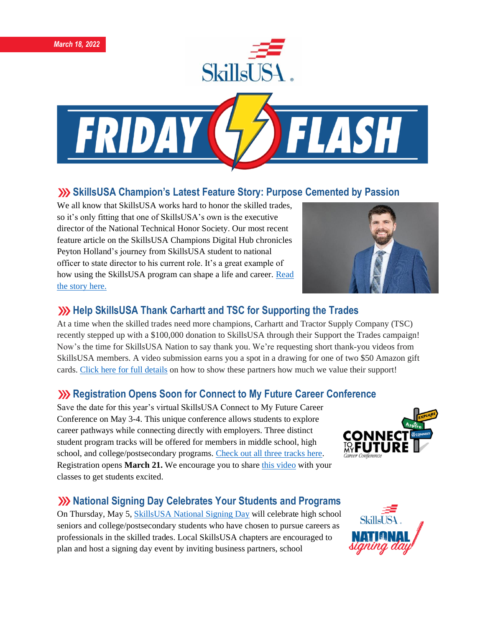



## **SkillsUSA Champion's Latest Feature Story: Purpose Cemented by Passion**

We all know that SkillsUSA works hard to honor the skilled trades, so it's only fitting that one of SkillsUSA's own is the executive director of the National Technical Honor Society. Our most recent feature article on the SkillsUSA Champions Digital Hub chronicles Peyton Holland's journey from SkillsUSA student to national officer to state director to his current role. It's a great example of how using the SkillsUSA program can shape a life and career. [Read](https://skillsusachampions.org/2022/03/purpose-cemented-by-passion/)  [the story here.](https://skillsusachampions.org/2022/03/purpose-cemented-by-passion/)



## **XX** Help SkillsUSA Thank Carhartt and TSC for Supporting the Trades

At a time when the skilled trades need more champions, Carhartt and Tractor Supply Company (TSC) recently stepped up with a \$100,000 donation to SkillsUSA through their Support the Trades campaign! Now's the time for SkillsUSA Nation to say thank you. We're requesting short thank-you videos from SkillsUSA members. A video submission earns you a spot in a drawing for one of two \$50 Amazon gift cards. Click here for full [details](https://skillsusa.wufoo.com/forms/carhartttsc-thank-you-videos) on how to show these partners how much we value their support!

### **XX** Registration Opens Soon for Connect to My Future Career Conference

Save the date for this year's virtual SkillsUSA Connect to My Future Career Conference on May 3-4. This unique conference allows students to explore career pathways while connecting directly with employers. Three distinct student program tracks will be offered for members in middle school, high school, and college/postsecondary programs. [Check out all three tracks here.](https://www.skillsusa.org/events-training/skillsusa-connect-to-my-future-conference/) Registration opens **March 21.** We encourage you to share [this video](https://www.youtube.com/watch?v=BA3PfAy7br8) with your classes to get students excited.

### **National Signing Day Celebrates Your Students and Programs**

On Thursday, May 5, [SkillsUSA National Signing Day](https://www.skillsusa.org/events-training/national-signing-day/) will celebrate high school seniors and college/postsecondary students who have chosen to pursue careers as professionals in the skilled trades. Local SkillsUSA chapters are encouraged to plan and host a signing day event by inviting business partners, school



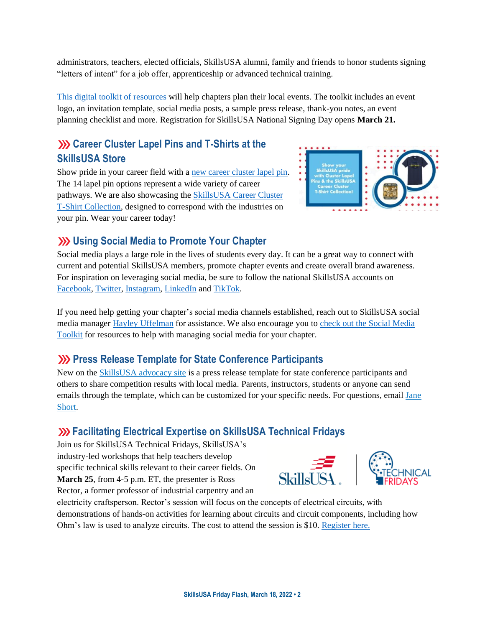administrators, teachers, elected officials, SkillsUSA alumni, family and friends to honor students signing "letters of intent" for a job offer, apprenticeship or advanced technical training.

[This digital toolkit of resources](https://www.skillsusa.org/events-training/national-signing-day/) will help chapters plan their local events. The toolkit includes an event logo, an invitation template, social media posts, a sample press release, thank-you notes, an event planning checklist and more. Registration for SkillsUSA National Signing Day opens **March 21.**

# **XXX** Career Cluster Lapel Pins and T-Shirts at the **SkillsUSA Store**

Show pride in your career field with a [new career cluster lapel pin.](https://skillsusastore.org/products/ClusterLapelPin) The 14 lapel pin options represent a wide variety of career pathways. We are also showcasing the [SkillsUSA Career Cluster](https://skillsusastore.org/products?s%5Bf%5D%5Bc%5D%5B%5D=%2FApparel+Room%2FCareer+Cluster+Collection)  [T-Shirt Collection,](https://skillsusastore.org/products?s%5Bf%5D%5Bc%5D%5B%5D=%2FApparel+Room%2FCareer+Cluster+Collection) designed to correspond with the industries on your pin. Wear your career today!



# **Using Social Media to Promote Your Chapter**

Social media plays a large role in the lives of students every day. It can be a great way to connect with current and potential SkillsUSA members, promote chapter events and create overall brand awareness. For inspiration on leveraging social media, be sure to follow the national SkillsUSA accounts on [Facebook,](https://www.facebook.com/SkillsUSA/) [Twitter,](https://twitter.com/SkillsUSA) [Instagram,](https://www.instagram.com/skillsusa/) [LinkedIn](https://www.linkedin.com/company/skillsusa/) and [TikTok.](https://www.tiktok.com/@skillsusaofficial)

If you need help getting your chapter's social media channels established, reach out to SkillsUSA social media manager [Hayley Uffelman](mailto:huffelman@skillsusa.org) for assistance. We also encourage you t[o check out the Social Media](https://drive.google.com/drive/u/2/folders/1jY8mgpv-lawbKR4um86fx6rOyEKXWk-O)  [Toolkit](https://drive.google.com/drive/u/2/folders/1jY8mgpv-lawbKR4um86fx6rOyEKXWk-O) for resources to help with managing social media for your chapter.

## **EXECUTE:** Press Release Template for State Conference Participants

New on the [SkillsUSA advocacy site](https://www.congressweb.com/susa/#/) is a press release template for state conference participants and others to share competition results with local media. Parents, instructors, students or anyone can send emails through the template, which can be customized for your specific needs. For questions, email Jane [Short.](mailto:jshort@skillsusa.org)

### **EXP. EXPERIENCE EXPERIENCES IN EXPERIENCES** Fridays Facilitating Electrical Expertise on SkillsUSA Technical Fridays

Join us for SkillsUSA Technical Fridays, SkillsUSA's industry-led workshops that help teachers develop specific technical skills relevant to their career fields. On **March 25**, from 4-5 p.m. ET, the presenter is Ross Rector, a former professor of industrial carpentry and an





electricity craftsperson. Rector's session will focus on the concepts of electrical circuits, with demonstrations of hands-on activities for learning about circuits and circuit components, including how Ohm's law is used to analyze circuits. The cost to attend the session is \$10. [Register here.](https://skillsusa.wufoo.com/forms/love-and-logic-and-technical-fridays-registration)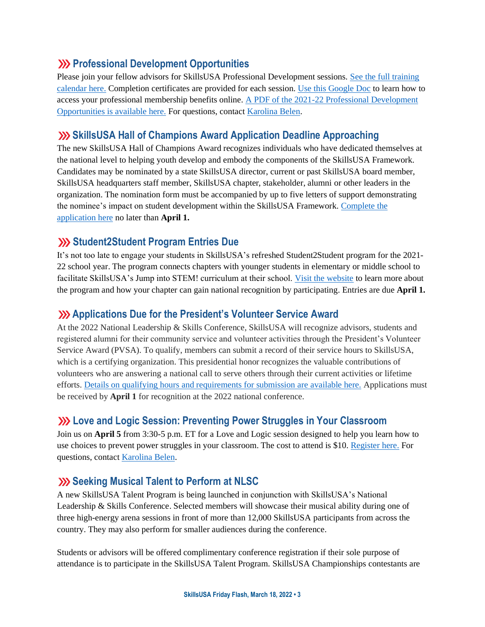#### **EXP Professional Development Opportunities**

Please join your fellow advisors for SkillsUSA Professional Development sessions. [See the full training](https://www.skillsusa.org/events-training/)  [calendar here.](https://www.skillsusa.org/events-training/) Completion certificates are provided for each session. [Use this Google Doc](https://docs.google.com/document/d/1d2EvwsmdelNzm-WK7pTGSokJTbWZXcFDOODai32SGzk/edit) to learn how to access your professional membership benefits online. [A PDF of the 2021-22 Professional Development](https://www.skillsusa.org/wp-content/uploads/2021/09/SkillsUSA-2021-Professional-Development-Opportunities-v9.pdf)  [Opportunities is available here.](https://www.skillsusa.org/wp-content/uploads/2021/09/SkillsUSA-2021-Professional-Development-Opportunities-v9.pdf) For questions, contact [Karolina Belen.](mailto:kbelen@skillsusa.org)

#### **SkillsUSA Hall of Champions Award Application Deadline Approaching**

The new SkillsUSA Hall of Champions Award recognizes individuals who have dedicated themselves at the national level to helping youth develop and embody the components of the SkillsUSA Framework. Candidates may be nominated by a state SkillsUSA director, current or past SkillsUSA board member, SkillsUSA headquarters staff member, SkillsUSA chapter, stakeholder, alumni or other leaders in the organization. The nomination form must be accompanied by up to five letters of support demonstrating the nominee's impact on student development within the SkillsUSA Framework. [Complete the](https://skillsusa.wufoo.com/forms/skillsusa-hall-of-champions-award/)  [application here](https://skillsusa.wufoo.com/forms/skillsusa-hall-of-champions-award/) no later than **April 1.**

### **Student2Student Program Entries Due**

It's not too late to engage your students in SkillsUSA's refreshed Student2Student program for the 2021- 22 school year. The program connects chapters with younger students in elementary or middle school to facilitate SkillsUSA's Jump into STEM! curriculum at their school. [Visit the website](https://www.skillsusa.org/programs/student2student/) to learn more about the program and how your chapter can gain national recognition by participating. Entries are due **April 1.**

#### **Applications Due for the President's Volunteer Service Award**

At the 2022 National Leadership & Skills Conference, SkillsUSA will recognize advisors, students and registered alumni for their community service and volunteer activities through the President's Volunteer Service Award (PVSA). To qualify, members can submit a record of their service hours to SkillsUSA, which is a certifying organization. This presidential honor recognizes the valuable contributions of volunteers who are answering a national call to serve others through their current activities or lifetime efforts. [Details on qualifying hours and requirements for submission are available here.](https://www.skillsusa.org/membership-resources/awards/presidents-volunteer-service-award) Applications must be received by **April 1** for recognition at the 2022 national conference.

#### **Love and Logic Session: Preventing Power Struggles in Your Classroom**

Join us on **April 5** from 3:30-5 p.m. ET for a Love and Logic session designed to help you learn how to use choices to prevent power struggles in your classroom. The cost to attend is \$10[. Register here.](https://skillsusa.wufoo.com/forms/love-and-logic-and-technical-fridays-registration) For questions, contact [Karolina Belen.](mailto:kbelen@skillsusa.org)

#### **Seeking Musical Talent to Perform at NLSC**

A new SkillsUSA Talent Program is being launched in conjunction with SkillsUSA's National Leadership & Skills Conference. Selected members will showcase their musical ability during one of three high-energy arena sessions in front of more than 12,000 SkillsUSA participants from across the country. They may also perform for smaller audiences during the conference.

Students or advisors will be offered complimentary conference registration if their sole purpose of attendance is to participate in the SkillsUSA Talent Program. SkillsUSA Championships contestants are